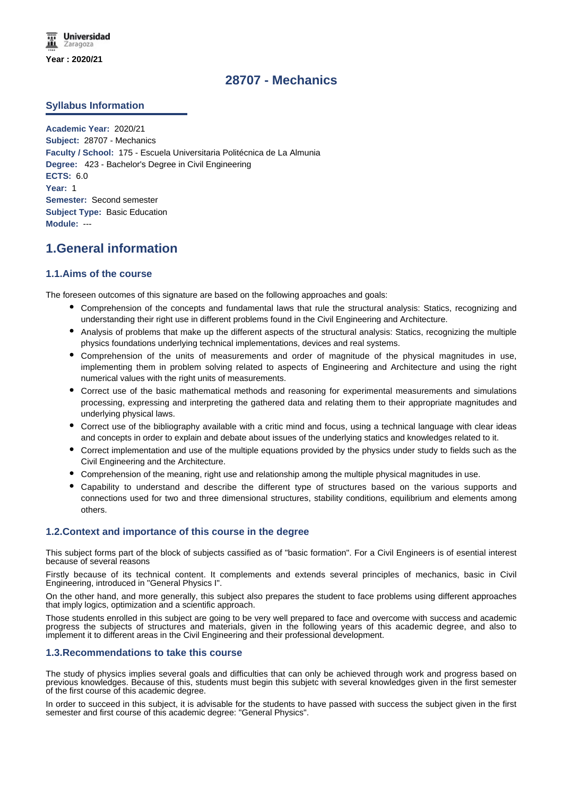## **28707 - Mechanics**

## **Syllabus Information**

**Academic Year:** 2020/21 **Subject:** 28707 - Mechanics **Faculty / School:** 175 - Escuela Universitaria Politécnica de La Almunia **Degree:** 423 - Bachelor's Degree in Civil Engineering **ECTS:** 6.0 **Year:** 1 **Semester:** Second semester **Subject Type:** Basic Education **Module:** ---

## **1.General information**

## **1.1.Aims of the course**

The foreseen outcomes of this signature are based on the following approaches and goals:

- Comprehension of the concepts and fundamental laws that rule the structural analysis: Statics, recognizing and understanding their right use in different problems found in the Civil Engineering and Architecture.
- Analysis of problems that make up the different aspects of the structural analysis: Statics, recognizing the multiple physics foundations underlying technical implementations, devices and real systems.
- Comprehension of the units of measurements and order of magnitude of the physical magnitudes in use, implementing them in problem solving related to aspects of Engineering and Architecture and using the right numerical values with the right units of measurements.
- Correct use of the basic mathematical methods and reasoning for experimental measurements and simulations processing, expressing and interpreting the gathered data and relating them to their appropriate magnitudes and underlying physical laws.
- Correct use of the bibliography available with a critic mind and focus, using a technical language with clear ideas and concepts in order to explain and debate about issues of the underlying statics and knowledges related to it.
- Correct implementation and use of the multiple equations provided by the physics under study to fields such as the Civil Engineering and the Architecture.
- Comprehension of the meaning, right use and relationship among the multiple physical magnitudes in use.
- Capability to understand and describe the different type of structures based on the various supports and connections used for two and three dimensional structures, stability conditions, equilibrium and elements among others.

### **1.2.Context and importance of this course in the degree**

This subject forms part of the block of subjects cassified as of "basic formation". For a Civil Engineers is of esential interest because of several reasons

Firstly because of its technical content. It complements and extends several principles of mechanics, basic in Civil Engineering, introduced in "General Physics I".

On the other hand, and more generally, this subject also prepares the student to face problems using different approaches that imply logics, optimization and a scientific approach.

Those students enrolled in this subject are going to be very well prepared to face and overcome with success and academic progress the subjects of structures and materials, given in the following years of this academic degree, and also to implement it to different areas in the Civil Engineering and their professional development.

### **1.3.Recommendations to take this course**

The study of physics implies several goals and difficulties that can only be achieved through work and progress based on previous knowledges. Because of this, students must begin this subjetc with several knowledges given in the first semester of the first course of this academic degree.

In order to succeed in this subject, it is advisable for the students to have passed with success the subject given in the first semester and first course of this academic degree: "General Physics".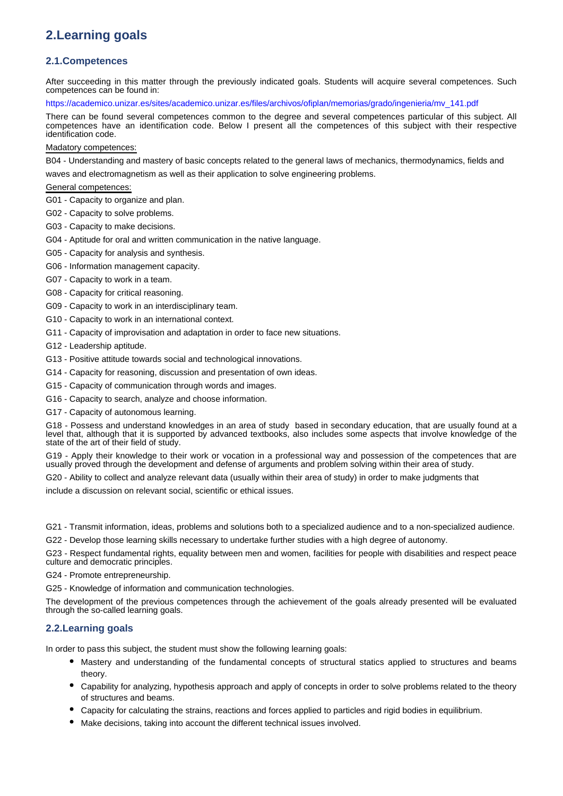# **2.Learning goals**

## **2.1.Competences**

After succeeding in this matter through the previously indicated goals. Students will acquire several competences. Such competences can be found in:

https://academico.unizar.es/sites/academico.unizar.es/files/archivos/ofiplan/memorias/grado/ingenieria/mv\_141.pdf

There can be found several competences common to the degree and several competences particular of this subject. All competences have an identification code. Below I present all the competences of this subject with their respective identification code.

#### Madatory competences:

B04 - Understanding and mastery of basic concepts related to the general laws of mechanics, thermodynamics, fields and waves and electromagnetism as well as their application to solve engineering problems.

## General competences:

- G01 Capacity to organize and plan.
- G02 Capacity to solve problems.
- G03 Capacity to make decisions.
- G04 Aptitude for oral and written communication in the native language.
- G05 Capacity for analysis and synthesis.
- G06 Information management capacity.
- G07 Capacity to work in a team.
- G08 Capacity for critical reasoning.
- G09 Capacity to work in an interdisciplinary team.
- G10 Capacity to work in an international context.
- G11 Capacity of improvisation and adaptation in order to face new situations.
- G12 Leadership aptitude.
- G13 Positive attitude towards social and technological innovations.
- G14 Capacity for reasoning, discussion and presentation of own ideas.
- G15 Capacity of communication through words and images.
- G16 Capacity to search, analyze and choose information.
- G17 Capacity of autonomous learning.

G18 - Possess and understand knowledges in an area of study based in secondary education, that are usually found at a level that, although that it is supported by advanced textbooks, also includes some aspects that involve knowledge of the state of the art of their field of study.

G19 - Apply their knowledge to their work or vocation in a professional way and possession of the competences that are usually proved through the development and defense of arguments and problem solving within their area of study.

G20 - Ability to collect and analyze relevant data (usually within their area of study) in order to make judgments that

include a discussion on relevant social, scientific or ethical issues.

G21 - Transmit information, ideas, problems and solutions both to a specialized audience and to a non-specialized audience.

G22 - Develop those learning skills necessary to undertake further studies with a high degree of autonomy.

G23 - Respect fundamental rights, equality between men and women, facilities for people with disabilities and respect peace culture and democratic principles.

G24 - Promote entrepreneurship.

G25 - Knowledge of information and communication technologies.

The development of the previous competences through the achievement of the goals already presented will be evaluated through the so-called learning goals.

## **2.2.Learning goals**

In order to pass this subject, the student must show the following learning goals:

- Mastery and understanding of the fundamental concepts of structural statics applied to structures and beams theory.
- Capability for analyzing, hypothesis approach and apply of concepts in order to solve problems related to the theory of structures and beams.
- Capacity for calculating the strains, reactions and forces applied to particles and rigid bodies in equilibrium.
- Make decisions, taking into account the different technical issues involved.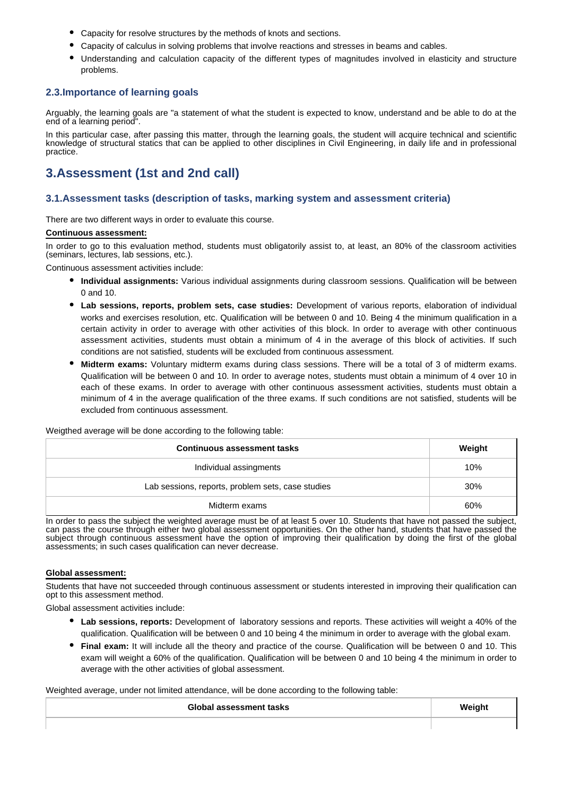- Capacity for resolve structures by the methods of knots and sections.
- Capacity of calculus in solving problems that involve reactions and stresses in beams and cables.
- Understanding and calculation capacity of the different types of magnitudes involved in elasticity and structure problems.

## **2.3.Importance of learning goals**

Arguably, the learning goals are "a statement of what the student is expected to know, understand and be able to do at the end of a learning period".

In this particular case, after passing this matter, through the learning goals, the student will acquire technical and scientific knowledge of structural statics that can be applied to other disciplines in Civil Engineering, in daily life and in professional practice.

## **3.Assessment (1st and 2nd call)**

### **3.1.Assessment tasks (description of tasks, marking system and assessment criteria)**

There are two different ways in order to evaluate this course.

#### **Continuous assessment:**

In order to go to this evaluation method, students must obligatorily assist to, at least, an 80% of the classroom activities (seminars, lectures, lab sessions, etc.).

Continuous assessment activities include:

- **Individual assignments:** Various individual assignments during classroom sessions. Qualification will be between 0 and 10.
- **Lab sessions, reports, problem sets, case studies:** Development of various reports, elaboration of individual works and exercises resolution, etc. Qualification will be between 0 and 10. Being 4 the minimum qualification in a certain activity in order to average with other activities of this block. In order to average with other continuous assessment activities, students must obtain a minimum of 4 in the average of this block of activities. If such conditions are not satisfied, students will be excluded from continuous assessment.
- **Midterm exams:** Voluntary midterm exams during class sessions. There will be a total of 3 of midterm exams. Qualification will be between 0 and 10. In order to average notes, students must obtain a minimum of 4 over 10 in each of these exams. In order to average with other continuous assessment activities, students must obtain a minimum of 4 in the average qualification of the three exams. If such conditions are not satisfied, students will be excluded from continuous assessment.

Weigthed average will be done according to the following table:

| <b>Continuous assessment tasks</b>                | Weight |
|---------------------------------------------------|--------|
| Individual assingments                            | 10%    |
| Lab sessions, reports, problem sets, case studies | 30%    |
| Midterm exams                                     | 60%    |

In order to pass the subject the weighted average must be of at least 5 over 10. Students that have not passed the subject. can pass the course through either two global assessment opportunities. On the other hand, students that have passed the subject through continuous assessment have the option of improving their qualification by doing the first of the global assessments; in such cases qualification can never decrease.

#### **Global assessment:**

Students that have not succeeded through continuous assessment or students interested in improving their qualification can opt to this assessment method.

Global assessment activities include:

- **Lab sessions, reports:** Development of laboratory sessions and reports. These activities will weight a 40% of the qualification. Qualification will be between 0 and 10 being 4 the minimum in order to average with the global exam.
- **Final exam:** It will include all the theory and practice of the course. Qualification will be between 0 and 10. This exam will weight a 60% of the qualification. Qualification will be between 0 and 10 being 4 the minimum in order to average with the other activities of global assessment.

Weighted average, under not limited attendance, will be done according to the following table:

| Global assessment tasks | Weight |
|-------------------------|--------|
|                         |        |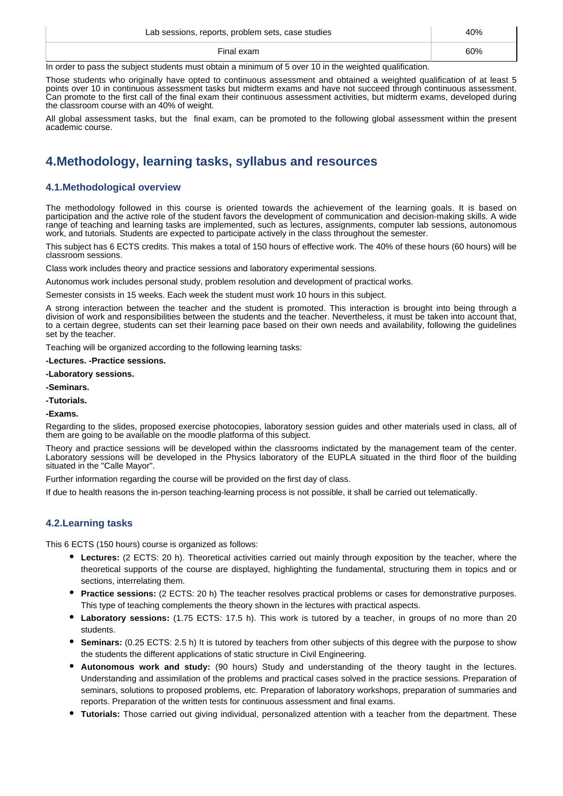| Lab sessions, reports, problem sets, case studies | 40% |
|---------------------------------------------------|-----|
| Final exam                                        | 60% |

In order to pass the subject students must obtain a minimum of 5 over 10 in the weighted qualification.

Those students who originally have opted to continuous assessment and obtained a weighted qualification of at least 5 points over 10 in continuous assessment tasks but midterm exams and have not succeed through continuous assessment. Can promote to the first call of the final exam their continuous assessment activities, but midterm exams, developed during the classroom course with an 40% of weight.

All global assessment tasks, but the final exam, can be promoted to the following global assessment within the present academic course.

# **4.Methodology, learning tasks, syllabus and resources**

## **4.1.Methodological overview**

The methodology followed in this course is oriented towards the achievement of the learning goals. It is based on participation and the active role of the student favors the development of communication and decision-making skills. A wide range of teaching and learning tasks are implemented, such as lectures, assignments, computer lab sessions, autonomous work, and tutorials. Students are expected to participate actively in the class throughout the semester.

This subject has 6 ECTS credits. This makes a total of 150 hours of effective work. The 40% of these hours (60 hours) will be classroom sessions.

Class work includes theory and practice sessions and laboratory experimental sessions.

Autonomus work includes personal study, problem resolution and development of practical works.

Semester consists in 15 weeks. Each week the student must work 10 hours in this subject.

A strong interaction between the teacher and the student is promoted. This interaction is brought into being through a division of work and responsibilities between the students and the teacher. Nevertheless, it must be taken into account that, to a certain degree, students can set their learning pace based on their own needs and availability, following the guidelines set by the teacher.

Teaching will be organized according to the following learning tasks:

#### **-Lectures. -Practice sessions.**

#### **-Laboratory sessions.**

- **-Seminars.**
- **-Tutorials.**

#### **-Exams.**

Regarding to the slides, proposed exercise photocopies, laboratory session guides and other materials used in class, all of them are going to be available on the moodle platforma of this subject.

Theory and practice sessions will be developed within the classrooms indictated by the management team of the center. Laboratory sessions will be developed in the Physics laboratory of the EUPLA situated in the third floor of the building situated in the "Calle Mayor".

Further information regarding the course will be provided on the first day of class.

If due to health reasons the in-person teaching-learning process is not possible, it shall be carried out telematically.

## **4.2.Learning tasks**

This 6 ECTS (150 hours) course is organized as follows:

- **Lectures:** (2 ECTS: 20 h). Theoretical activities carried out mainly through exposition by the teacher, where the theoretical supports of the course are displayed, highlighting the fundamental, structuring them in topics and or sections, interrelating them.
- **Practice sessions:** (2 ECTS: 20 h) The teacher resolves practical problems or cases for demonstrative purposes. This type of teaching complements the theory shown in the lectures with practical aspects.
- **Laboratory sessions:** (1.75 ECTS: 17.5 h). This work is tutored by a teacher, in groups of no more than 20 students.
- **Seminars:** (0.25 ECTS: 2.5 h) It is tutored by teachers from other subjects of this degree with the purpose to show the students the different applications of static structure in Civil Engineering.
- **Autonomous work and study:** (90 hours) Study and understanding of the theory taught in the lectures. Understanding and assimilation of the problems and practical cases solved in the practice sessions. Preparation of seminars, solutions to proposed problems, etc. Preparation of laboratory workshops, preparation of summaries and reports. Preparation of the written tests for continuous assessment and final exams.
- **Tutorials:** Those carried out giving individual, personalized attention with a teacher from the department. These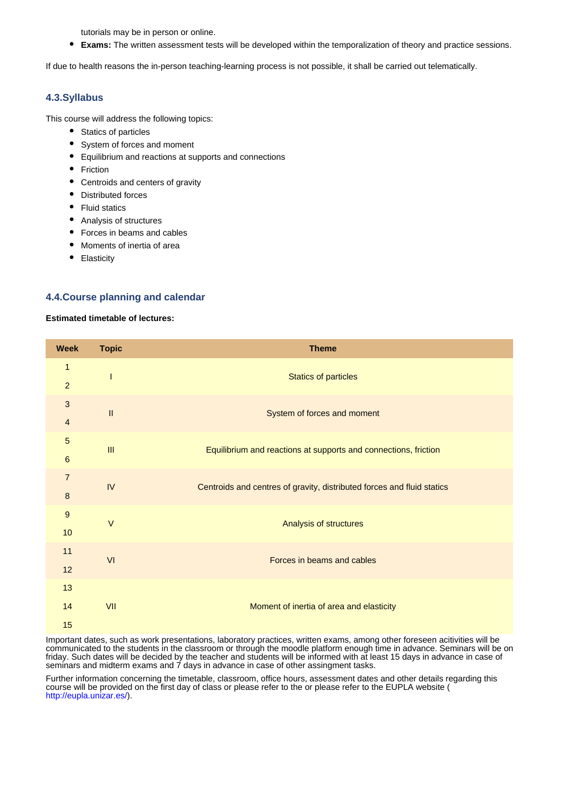tutorials may be in person or online.

**Exams:** The written assessment tests will be developed within the temporalization of theory and practice sessions.

If due to health reasons the in-person teaching-learning process is not possible, it shall be carried out telematically.

## **4.3.Syllabus**

This course will address the following topics:

- Statics of particles
- System of forces and moment
- Equilibrium and reactions at supports and connections
- Friction
- Centroids and centers of gravity
- Distributed forces
- Fluid statics
- Analysis of structures
- Forces in beams and cables
- Moments of inertia of area
- Elasticity

#### **4.4.Course planning and calendar**

#### **Estimated timetable of lectures:**

| <b>Week</b>     | <b>Topic</b>               | <b>Theme</b>                                                           |
|-----------------|----------------------------|------------------------------------------------------------------------|
| 1               |                            | <b>Statics of particles</b>                                            |
| $\overline{a}$  |                            |                                                                        |
| 3               | $\ensuremath{\mathsf{II}}$ |                                                                        |
| $\overline{4}$  |                            | System of forces and moment                                            |
| 5               | III                        |                                                                        |
| $6\phantom{1}6$ |                            | Equilibrium and reactions at supports and connections, friction        |
| $\overline{7}$  | IV                         |                                                                        |
| $\bf 8$         |                            | Centroids and centres of gravity, distributed forces and fluid statics |
| 9               | $\vee$                     |                                                                        |
| 10              |                            | Analysis of structures                                                 |
| 11              | VI                         | Forces in beams and cables                                             |
| 12              |                            |                                                                        |
| 13              | VII                        |                                                                        |
| 14              |                            | Moment of inertia of area and elasticity                               |
| 15              |                            |                                                                        |

Important dates, such as work presentations, laboratory practices, written exams, among other foreseen acitivities will be communicated to the students in the classroom or through the moodle platform enough time in advance. Seminars will be on friday. Such dates will be decided by the teacher and students will be informed with at least 15 days in advance in case of seminars and midterm exams and 7 days in advance in case of other assingment tasks.

Further information concerning the timetable, classroom, office hours, assessment dates and other details regarding this course will be provided on the first day of class or please refer to the or please refer to the EUPLA website ( http://eupla.unizar.es/).